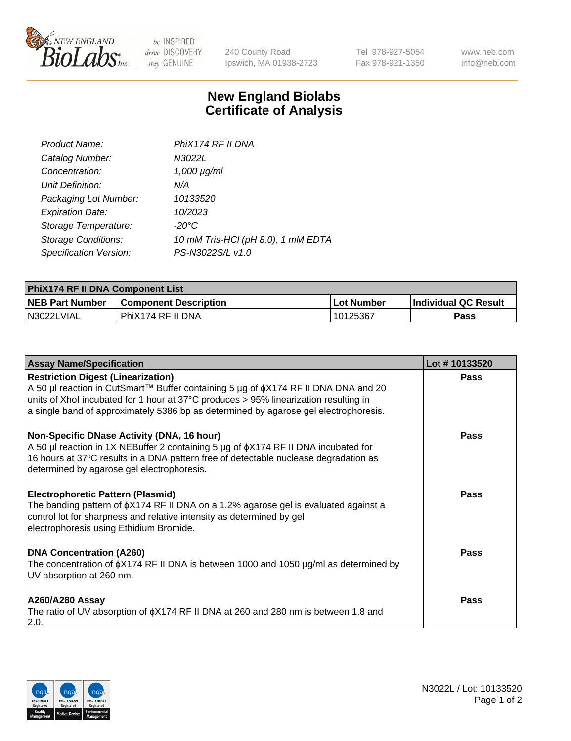

 $be$  INSPIRED drive DISCOVERY stay GENUINE

240 County Road Ipswich, MA 01938-2723 Tel 978-927-5054 Fax 978-921-1350 www.neb.com info@neb.com

## **New England Biolabs Certificate of Analysis**

| Product Name:              | PhiX174 RF II DNA                  |
|----------------------------|------------------------------------|
| Catalog Number:            | N3022L                             |
| Concentration:             | $1,000 \mu g/ml$                   |
| Unit Definition:           | N/A                                |
| Packaging Lot Number:      | 10133520                           |
| <b>Expiration Date:</b>    | 10/2023                            |
| Storage Temperature:       | -20°C                              |
| <b>Storage Conditions:</b> | 10 mM Tris-HCl (pH 8.0), 1 mM EDTA |
| Specification Version:     | PS-N3022S/L v1.0                   |

| <b>PhiX174 RF II DNA Component List</b> |                              |             |                             |  |
|-----------------------------------------|------------------------------|-------------|-----------------------------|--|
| <b>NEB Part Number</b>                  | <b>Component Description</b> | ⊥Lot Number | <b>Individual QC Result</b> |  |
| N3022LVIAL                              | l PhiX174 RF II DNA          | 10125367    | Pass                        |  |

| <b>Assay Name/Specification</b>                                                                                                                                                                                                                                                                                       | Lot #10133520 |
|-----------------------------------------------------------------------------------------------------------------------------------------------------------------------------------------------------------------------------------------------------------------------------------------------------------------------|---------------|
| <b>Restriction Digest (Linearization)</b><br>A 50 µl reaction in CutSmart™ Buffer containing 5 µg of $\phi$ X174 RF II DNA DNA and 20<br>units of Xhol incubated for 1 hour at 37°C produces > 95% linearization resulting in<br>a single band of approximately 5386 bp as determined by agarose gel electrophoresis. | <b>Pass</b>   |
| Non-Specific DNase Activity (DNA, 16 hour)<br>A 50 µl reaction in 1X NEBuffer 2 containing 5 µg of $\phi$ X174 RF II DNA incubated for<br>16 hours at 37°C results in a DNA pattern free of detectable nuclease degradation as<br>determined by agarose gel electrophoresis.                                          | Pass          |
| <b>Electrophoretic Pattern (Plasmid)</b><br>The banding pattern of $\phi$ X174 RF II DNA on a 1.2% agarose gel is evaluated against a<br>control lot for sharpness and relative intensity as determined by gel<br>electrophoresis using Ethidium Bromide.                                                             | Pass          |
| <b>DNA Concentration (A260)</b><br>The concentration of $\phi$ X174 RF II DNA is between 1000 and 1050 µg/ml as determined by<br>UV absorption at 260 nm.                                                                                                                                                             | Pass          |
| <b>A260/A280 Assay</b><br>The ratio of UV absorption of $\phi$ X174 RF II DNA at 260 and 280 nm is between 1.8 and<br>2.0.                                                                                                                                                                                            | <b>Pass</b>   |